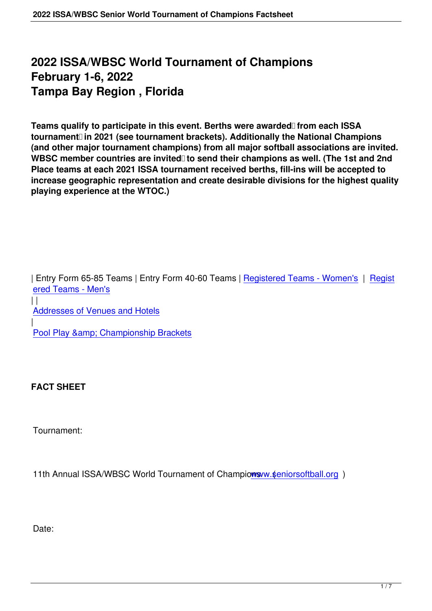## **2022 ISSA/WBSC World Tournament of Champions February 1-6, 2022 Tampa Bay Region , Florida**

Teams qualify to participate in this event. Berths were awarded from each ISSA tournament<sup>[1]</sup> in 2021 (see tournament brackets). Additionally the National Champions **(and other major tournament champions) from all major softball associations are invited.** WBSC member countries are invited to send their champions as well. (The 1st and 2nd **Place teams at each 2021 ISSA tournament received berths, fill-ins will be accepted to increase geographic representation and create desirable divisions for the highest quality playing experience at the WTOC.)**

| Entry Form 65-85 Teams | Entry Form 40-60 Teams | Registered Teams - Women's | Regist ered Teams - Men's

 $\vert \vert$ Addresses of Venues and Hotels | Pool Play & amp; Championship Brackets

**FACT SHEET**

Tournament:

11th Annual ISSA/WBSC World Tournament of Champions w. \$eniorsoftball.org )

Date: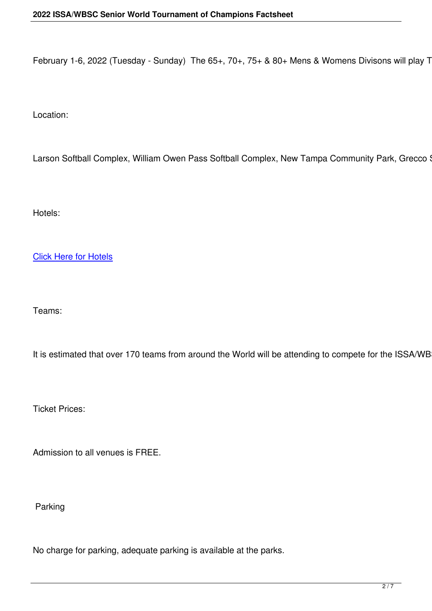February 1-6, 2022 (Tuesday - Sunday) The  $65+$ ,  $70+$ ,  $75+$  &  $80+$  Mens & Womens Divisons will play Tues

Location:

Larson Softball Complex, William Owen Pass Softball Complex, New Tampa Community Park, Grecco Soft

Hotels:

Click Here for Hotels

Teams:

It is estimated that over 170 teams from around the World will be attending to compete for the ISSA/WBSC

Ticket Prices:

Admission to all venues is FREE.

Parking

No charge for parking, adequate parking is available at the parks.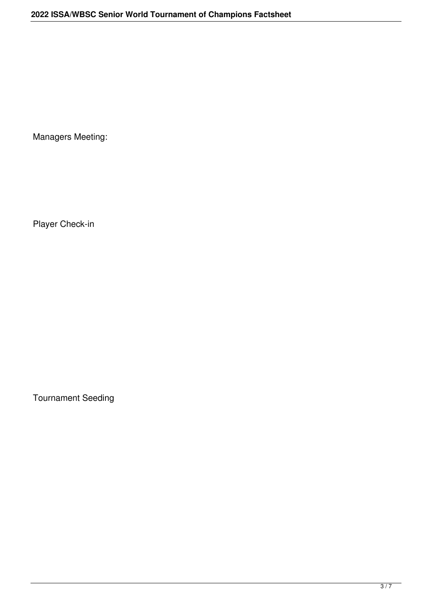Managers Meeting:

Player Check-in

Tournament Seeding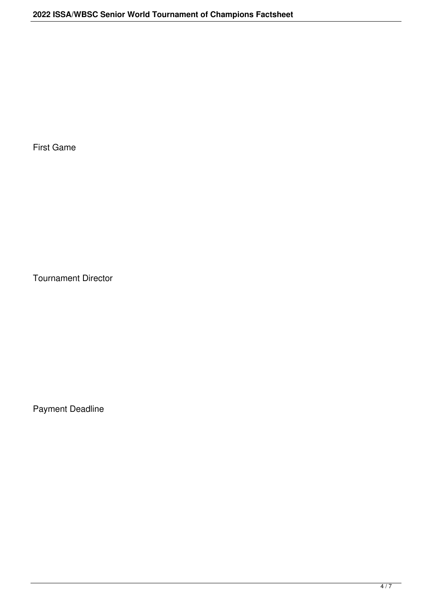First Game

Tournament Director

Payment Deadline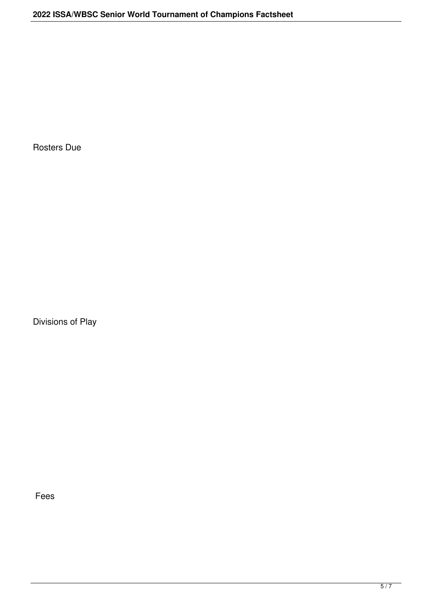Rosters Due

Divisions of Play

Fees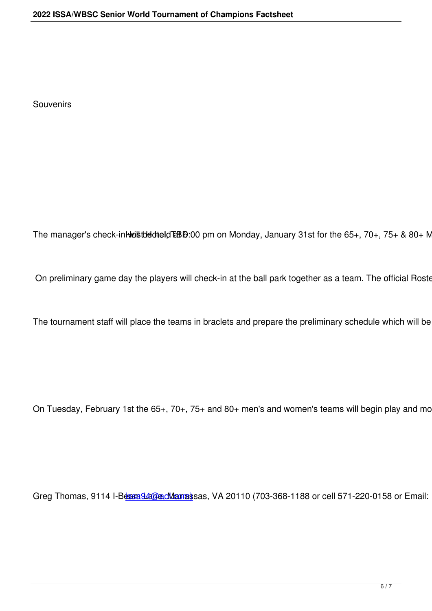The manager's check-in will be the division on Monday, January 31st for the  $65+, 70+, 75+$  &  $80+$  Mens

On preliminary game day the players will check-in at the ball park together as a team. The official Roster V

The tournament staff will place the teams in braclets and prepare the preliminary schedule which will be po

On Tuesday, February 1st the 65+, 70+, 75+ and 80+ men's and women's teams will begin play and most b

Greg Thomas, 9114 I-Beam 94@ad Manassas, VA 20110 (703-368-1188 or cell 571-220-0158 or Email: